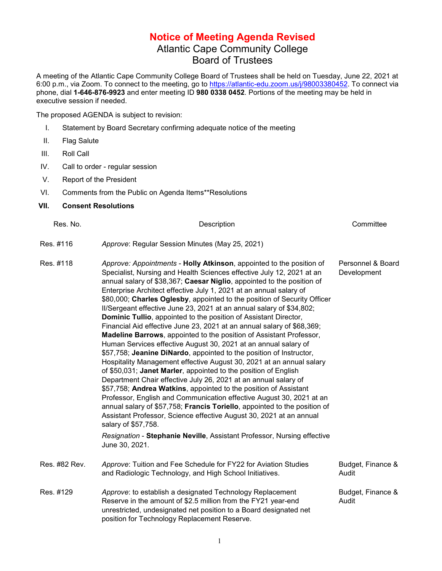## **Notice of Meeting Agenda Revised** Atlantic Cape Community College Board of Trustees

A meeting of the Atlantic Cape Community College Board of Trustees shall be held on Tuesday, June 22, 2021 at 6:00 p.m., via Zoom. To connect to the meeting, go to [https://atlantic-edu.zoom.us/j/98003380452.](https://atlantic-edu.zoom.us/j/98003380452) To connect via phone, dial **1-646-876-9923** and enter meeting ID **980 0338 0452**. Portions of the meeting may be held in executive session if needed.

The proposed AGENDA is subject to revision:

- I. Statement by Board Secretary confirming adequate notice of the meeting
- II. Flag Salute
- III. Roll Call
- IV. Call to order regular session
- V. Report of the President
- VI. Comments from the Public on Agenda Items\*\*Resolutions

## **VII. Consent Resolutions**

| Res. No.      | Description                                                                                                                                                                                                                                                                                                                                                                                                                                                                                                                                                                                                                                                                                                                                                                                                                                                                                                                                                                                                                                                                                                                                                                                                                                                                                                                                                                                                                                        | Committee                        |
|---------------|----------------------------------------------------------------------------------------------------------------------------------------------------------------------------------------------------------------------------------------------------------------------------------------------------------------------------------------------------------------------------------------------------------------------------------------------------------------------------------------------------------------------------------------------------------------------------------------------------------------------------------------------------------------------------------------------------------------------------------------------------------------------------------------------------------------------------------------------------------------------------------------------------------------------------------------------------------------------------------------------------------------------------------------------------------------------------------------------------------------------------------------------------------------------------------------------------------------------------------------------------------------------------------------------------------------------------------------------------------------------------------------------------------------------------------------------------|----------------------------------|
| Res. #116     | Approve: Regular Session Minutes (May 25, 2021)                                                                                                                                                                                                                                                                                                                                                                                                                                                                                                                                                                                                                                                                                                                                                                                                                                                                                                                                                                                                                                                                                                                                                                                                                                                                                                                                                                                                    |                                  |
| Res. #118     | Approve: Appointments - Holly Atkinson, appointed to the position of<br>Specialist, Nursing and Health Sciences effective July 12, 2021 at an<br>annual salary of \$38,367; Caesar Niglio, appointed to the position of<br>Enterprise Architect effective July 1, 2021 at an annual salary of<br>\$80,000; Charles Oglesby, appointed to the position of Security Officer<br>II/Sergeant effective June 23, 2021 at an annual salary of \$34,802;<br>Dominic Tullio, appointed to the position of Assistant Director,<br>Financial Aid effective June 23, 2021 at an annual salary of \$68,369;<br>Madeline Barrows, appointed to the position of Assistant Professor,<br>Human Services effective August 30, 2021 at an annual salary of<br>\$57,758; Jeanine DiNardo, appointed to the position of Instructor,<br>Hospitality Management effective August 30, 2021 at an annual salary<br>of \$50,031; Janet Marler, appointed to the position of English<br>Department Chair effective July 26, 2021 at an annual salary of<br>\$57,758; Andrea Watkins, appointed to the position of Assistant<br>Professor, English and Communication effective August 30, 2021 at an<br>annual salary of \$57,758; Francis Toriello, appointed to the position of<br>Assistant Professor, Science effective August 30, 2021 at an annual<br>salary of \$57,758.<br>Resignation - Stephanie Neville, Assistant Professor, Nursing effective<br>June 30, 2021. | Personnel & Board<br>Development |
| Res. #82 Rev. | Approve: Tuition and Fee Schedule for FY22 for Aviation Studies<br>and Radiologic Technology, and High School Initiatives.                                                                                                                                                                                                                                                                                                                                                                                                                                                                                                                                                                                                                                                                                                                                                                                                                                                                                                                                                                                                                                                                                                                                                                                                                                                                                                                         | Budget, Finance &<br>Audit       |
| Res. #129     | Approve: to establish a designated Technology Replacement<br>Reserve in the amount of \$2.5 million from the FY21 year-end<br>unrestricted, undesignated net position to a Board designated net<br>position for Technology Replacement Reserve.                                                                                                                                                                                                                                                                                                                                                                                                                                                                                                                                                                                                                                                                                                                                                                                                                                                                                                                                                                                                                                                                                                                                                                                                    | Budget, Finance &<br>Audit       |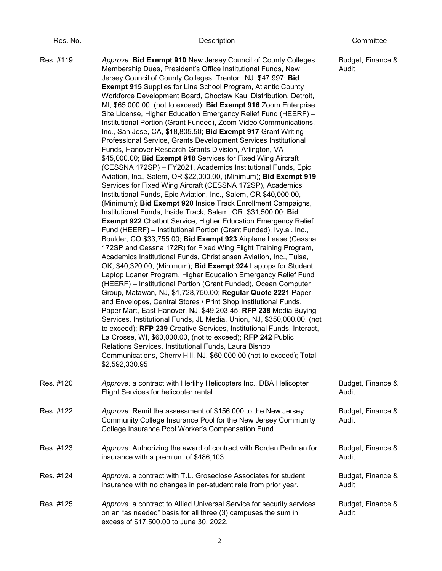| ٦<br>r |  |
|--------|--|
|        |  |

## Res. No. Description Committee

Res. #119 *Approve:* **Bid Exempt 910** New Jersey Council of County Colleges Membership Dues, President's Office Institutional Funds, New Jersey Council of County Colleges, Trenton, NJ, \$47,997; **Bid Exempt 915** Supplies for Line School Program, Atlantic County Workforce Development Board, Choctaw Kaul Distribution, Detroit, MI, \$65,000.00, (not to exceed); **Bid Exempt 916** Zoom Enterprise Site License, Higher Education Emergency Relief Fund (HEERF) – Institutional Portion (Grant Funded), Zoom Video Communications, Inc., San Jose, CA, \$18,805.50; **Bid Exempt 917** Grant Writing Professional Service, Grants Development Services Institutional Funds, Hanover Research-Grants Division, Arlington, VA \$45,000.00; **Bid Exempt 918** Services for Fixed Wing Aircraft (CESSNA 172SP) – FY2021, Academics Institutional Funds, Epic Aviation, Inc., Salem, OR \$22,000.00, (Minimum); **Bid Exempt 919** Services for Fixed Wing Aircraft (CESSNA 172SP), Academics Institutional Funds, Epic Aviation, Inc., Salem, OR \$40,000.00, (Minimum); **Bid Exempt 920** Inside Track Enrollment Campaigns, Institutional Funds, Inside Track, Salem, OR, \$31,500.00; **Bid Exempt 922** Chatbot Service, Higher Education Emergency Relief Fund (HEERF) – Institutional Portion (Grant Funded), Ivy.ai, Inc., Boulder, CO \$33,755.00; **Bid Exempt 923** Airplane Lease (Cessna 172SP and Cessna 172R) for Fixed Wing Flight Training Program, Academics Institutional Funds, Christiansen Aviation, Inc., Tulsa, OK, \$40,320.00, (Minimum); **Bid Exempt 924** Laptops for Student Laptop Loaner Program, Higher Education Emergency Relief Fund (HEERF) – Institutional Portion (Grant Funded), Ocean Computer Group, Matawan, NJ, \$1,728,750.00; **Regular Quote 2221** Paper and Envelopes, Central Stores / Print Shop Institutional Funds, Paper Mart, East Hanover, NJ, \$49,203.45; **RFP 238** Media Buying Services, Institutional Funds, JL Media, Union, NJ, \$350,000.00, (not to exceed); **RFP 239** Creative Services, Institutional Funds, Interact, La Crosse, WI, \$60,000.00, (not to exceed); **RFP 242** Public Relations Services, Institutional Funds, Laura Bishop Communications, Cherry Hill, NJ, \$60,000.00 (not to exceed); Total \$2,592,330.95 Budget, Finance & Audit Res. #120 *Approve:* a contract with Herlihy Helicopters Inc., DBA Helicopter Flight Services for helicopter rental. Budget, Finance & Audit Res. #122 *Approve:* Remit the assessment of \$156,000 to the New Jersey Community College Insurance Pool for the New Jersey Community College Insurance Pool Worker's Compensation Fund. Budget, Finance & Audit Res. #123 *Approve:* Authorizing the award of contract with Borden Perlman for insurance with a premium of \$486,103. Budget, Finance & Audit Res. #124 *Approve:* a contract with T.L. Groseclose Associates for student insurance with no changes in per-student rate from prior year. Budget, Finance & Audit Res. #125 *Approve:* a contract to Allied Universal Service for security services, on an "as needed" basis for all three (3) campuses the sum in Budget, Finance & Audit

excess of \$17,500.00 to June 30, 2022.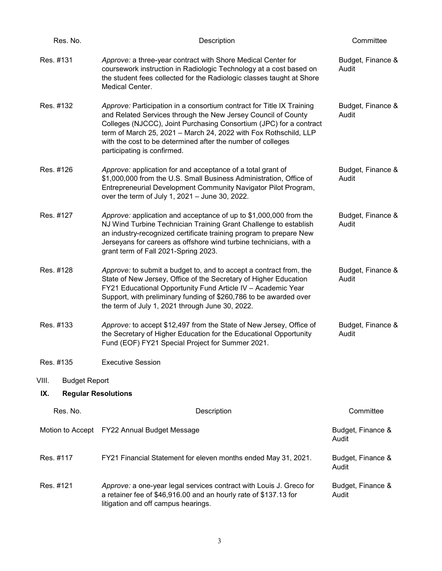| Res. No.                          | Description                                                                                                                                                                                                                                                                                                                                                                    | Committee                  |
|-----------------------------------|--------------------------------------------------------------------------------------------------------------------------------------------------------------------------------------------------------------------------------------------------------------------------------------------------------------------------------------------------------------------------------|----------------------------|
| Res. #131                         | Approve: a three-year contract with Shore Medical Center for<br>coursework instruction in Radiologic Technology at a cost based on<br>the student fees collected for the Radiologic classes taught at Shore<br>Medical Center.                                                                                                                                                 | Budget, Finance &<br>Audit |
| Res. #132                         | Approve: Participation in a consortium contract for Title IX Training<br>and Related Services through the New Jersey Council of County<br>Colleges (NJCCC), Joint Purchasing Consortium (JPC) for a contract<br>term of March 25, 2021 - March 24, 2022 with Fox Rothschild, LLP<br>with the cost to be determined after the number of colleges<br>participating is confirmed. | Budget, Finance &<br>Audit |
| Res. #126                         | Approve: application for and acceptance of a total grant of<br>\$1,000,000 from the U.S. Small Business Administration, Office of<br>Entrepreneurial Development Community Navigator Pilot Program,<br>over the term of July 1, 2021 - June 30, 2022.                                                                                                                          | Budget, Finance &<br>Audit |
| Res. #127                         | Approve: application and acceptance of up to \$1,000,000 from the<br>NJ Wind Turbine Technician Training Grant Challenge to establish<br>an industry-recognized certificate training program to prepare New<br>Jerseyans for careers as offshore wind turbine technicians, with a<br>grant term of Fall 2021-Spring 2023.                                                      | Budget, Finance &<br>Audit |
| Res. #128                         | Approve: to submit a budget to, and to accept a contract from, the<br>State of New Jersey, Office of the Secretary of Higher Education<br>FY21 Educational Opportunity Fund Article IV - Academic Year<br>Support, with preliminary funding of \$260,786 to be awarded over<br>the term of July 1, 2021 through June 30, 2022.                                                 | Budget, Finance &<br>Audit |
| Res. #133                         | Approve: to accept \$12,497 from the State of New Jersey, Office of<br>the Secretary of Higher Education for the Educational Opportunity<br>Fund (EOF) FY21 Special Project for Summer 2021.                                                                                                                                                                                   | Budget, Finance &<br>Audit |
| Res. #135                         | <b>Executive Session</b>                                                                                                                                                                                                                                                                                                                                                       |                            |
| VIII.<br><b>Budget Report</b>     |                                                                                                                                                                                                                                                                                                                                                                                |                            |
| <b>Regular Resolutions</b><br>IX. |                                                                                                                                                                                                                                                                                                                                                                                |                            |
| Res. No.                          | Description                                                                                                                                                                                                                                                                                                                                                                    | Committee                  |
|                                   | Motion to Accept FY22 Annual Budget Message                                                                                                                                                                                                                                                                                                                                    | Budget, Finance &<br>Audit |
| Res. #117                         | FY21 Financial Statement for eleven months ended May 31, 2021.                                                                                                                                                                                                                                                                                                                 | Budget, Finance &<br>Audit |
| Res. #121                         | Approve: a one-year legal services contract with Louis J. Greco for<br>a retainer fee of \$46,916.00 and an hourly rate of \$137.13 for<br>litigation and off campus hearings.                                                                                                                                                                                                 | Budget, Finance &<br>Audit |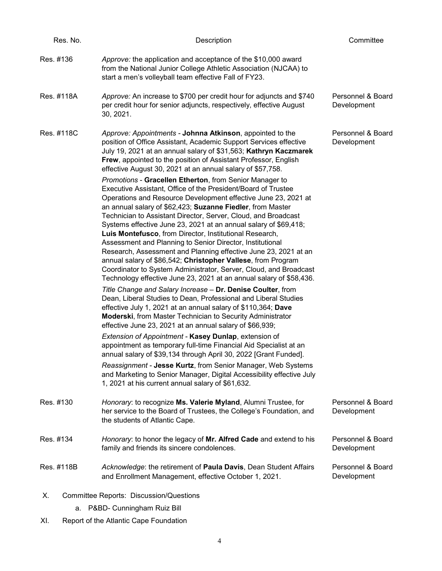| Res. No.   | Description                                                                                                                                                                                                                                                                                                                                                                                                                                                                                                                                                                                                                                                                                                                                                                                           | Committee                        |
|------------|-------------------------------------------------------------------------------------------------------------------------------------------------------------------------------------------------------------------------------------------------------------------------------------------------------------------------------------------------------------------------------------------------------------------------------------------------------------------------------------------------------------------------------------------------------------------------------------------------------------------------------------------------------------------------------------------------------------------------------------------------------------------------------------------------------|----------------------------------|
| Res. #136  | Approve: the application and acceptance of the \$10,000 award<br>from the National Junior College Athletic Association (NJCAA) to<br>start a men's volleyball team effective Fall of FY23.                                                                                                                                                                                                                                                                                                                                                                                                                                                                                                                                                                                                            |                                  |
| Res. #118A | Approve: An increase to \$700 per credit hour for adjuncts and \$740<br>per credit hour for senior adjuncts, respectively, effective August<br>30, 2021.                                                                                                                                                                                                                                                                                                                                                                                                                                                                                                                                                                                                                                              | Personnel & Board<br>Development |
| Res. #118C | Approve: Appointments - Johnna Atkinson, appointed to the<br>position of Office Assistant, Academic Support Services effective<br>July 19, 2021 at an annual salary of \$31,563; Kathryn Kaczmarek<br>Frew, appointed to the position of Assistant Professor, English<br>effective August 30, 2021 at an annual salary of \$57,758.                                                                                                                                                                                                                                                                                                                                                                                                                                                                   | Personnel & Board<br>Development |
|            | Promotions - Gracellen Etherton, from Senior Manager to<br>Executive Assistant, Office of the President/Board of Trustee<br>Operations and Resource Development effective June 23, 2021 at<br>an annual salary of \$62,423; Suzanne Fiedler, from Master<br>Technician to Assistant Director, Server, Cloud, and Broadcast<br>Systems effective June 23, 2021 at an annual salary of \$69,418;<br>Luis Montefusco, from Director, Institutional Research,<br>Assessment and Planning to Senior Director, Institutional<br>Research, Assessment and Planning effective June 23, 2021 at an<br>annual salary of \$86,542; Christopher Vallese, from Program<br>Coordinator to System Administrator, Server, Cloud, and Broadcast<br>Technology effective June 23, 2021 at an annual salary of \$58,436. |                                  |
|            | Title Change and Salary Increase - Dr. Denise Coulter, from<br>Dean, Liberal Studies to Dean, Professional and Liberal Studies<br>effective July 1, 2021 at an annual salary of \$110,364; Dave<br>Moderski, from Master Technician to Security Administrator<br>effective June 23, 2021 at an annual salary of \$66,939;                                                                                                                                                                                                                                                                                                                                                                                                                                                                             |                                  |
|            | Extension of Appointment - Kasey Dunlap, extension of<br>appointment as temporary full-time Financial Aid Specialist at an<br>annual salary of \$39,134 through April 30, 2022 [Grant Funded].                                                                                                                                                                                                                                                                                                                                                                                                                                                                                                                                                                                                        |                                  |
|            | Reassignment - Jesse Kurtz, from Senior Manager, Web Systems<br>and Marketing to Senior Manager, Digital Accessibility effective July<br>1, 2021 at his current annual salary of \$61,632.                                                                                                                                                                                                                                                                                                                                                                                                                                                                                                                                                                                                            |                                  |
| Res. #130  | Honorary: to recognize Ms. Valerie Myland, Alumni Trustee, for<br>her service to the Board of Trustees, the College's Foundation, and<br>the students of Atlantic Cape.                                                                                                                                                                                                                                                                                                                                                                                                                                                                                                                                                                                                                               | Personnel & Board<br>Development |
| Res. #134  | Honorary: to honor the legacy of Mr. Alfred Cade and extend to his<br>family and friends its sincere condolences.                                                                                                                                                                                                                                                                                                                                                                                                                                                                                                                                                                                                                                                                                     | Personnel & Board<br>Development |
| Res. #118B | Acknowledge: the retirement of Paula Davis, Dean Student Affairs<br>and Enrollment Management, effective October 1, 2021.                                                                                                                                                                                                                                                                                                                                                                                                                                                                                                                                                                                                                                                                             | Personnel & Board<br>Development |
| Х.         | <b>Committee Reports: Discussion/Questions</b>                                                                                                                                                                                                                                                                                                                                                                                                                                                                                                                                                                                                                                                                                                                                                        |                                  |
| a.         | P&BD- Cunningham Ruiz Bill                                                                                                                                                                                                                                                                                                                                                                                                                                                                                                                                                                                                                                                                                                                                                                            |                                  |

XI. Report of the Atlantic Cape Foundation